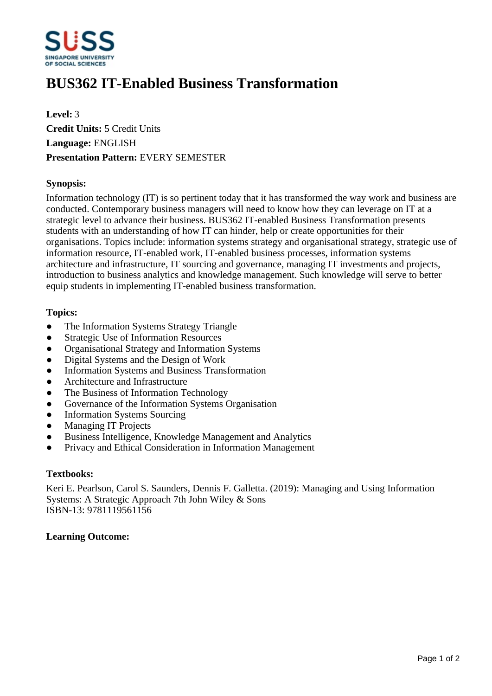

# **BUS362 IT-Enabled Business Transformation**

**Level:** 3 **Credit Units:** 5 Credit Units **Language:** ENGLISH **Presentation Pattern:** EVERY SEMESTER

## **Synopsis:**

Information technology (IT) is so pertinent today that it has transformed the way work and business are conducted. Contemporary business managers will need to know how they can leverage on IT at a strategic level to advance their business. BUS362 IT-enabled Business Transformation presents students with an understanding of how IT can hinder, help or create opportunities for their organisations. Topics include: information systems strategy and organisational strategy, strategic use of information resource, IT-enabled work, IT-enabled business processes, information systems architecture and infrastructure, IT sourcing and governance, managing IT investments and projects, introduction to business analytics and knowledge management. Such knowledge will serve to better equip students in implementing IT-enabled business transformation.

#### **Topics:**

- The Information Systems Strategy Triangle
- Strategic Use of Information Resources
- Organisational Strategy and Information Systems
- Digital Systems and the Design of Work
- Information Systems and Business Transformation
- ƔArchitecture and Infrastructure
- ƔThe Business of Information Technology
- Governance of the Information Systems Organisation
- Information Systems Sourcing
- Managing IT Projects
- Business Intelligence, Knowledge Management and Analytics
- Privacy and Ethical Consideration in Information Management

#### **Textbooks:**

Keri E. Pearlson, Carol S. Saunders, Dennis F. Galletta. (2019): Managing and Using Information Systems: A Strategic Approach 7th John Wiley & Sons ISBN-13: 9781119561156

# **Learning Outcome:**